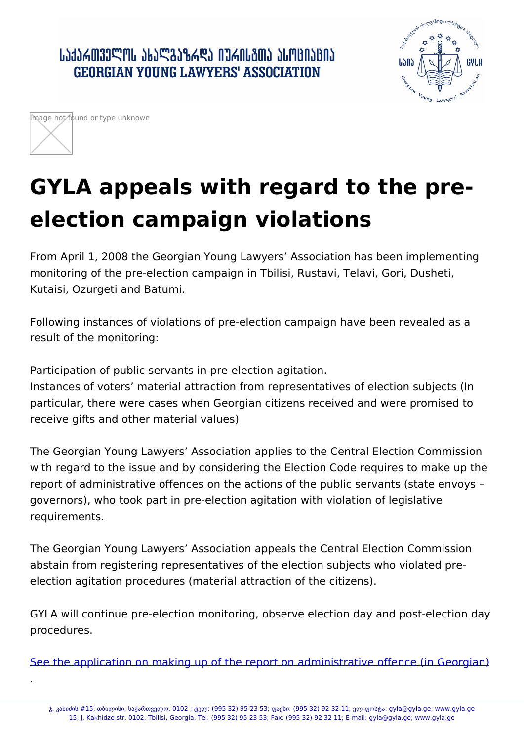.

## GYLA appeals with regard to the preelection campaign violations

From April 1, 2008 the Georgian Young Lawyers Association has be monitoring of the pre-election campaign in Tbilisi, Rustavi, Telavi, Kutaisi, Ozurgeti and Batumi.

Following instances of violations of pre-election campaign have been revenues as a result of the monitoring:

Participation of public servants in pre-election agitation. Instances of voters material attraction from representatives of ele particular, there were cases when Georgian citizens received and w receive gifts and other material values)

The Georgian Young Lawyers Association applies to the Central El with regard to the issue and by considering the Election Code requ report of administrative offences on the actions of the public serva governors), who took part in pre-election agitation with violation of requirements.

The Georgian Young Lawyers Association appeals the Central Elec abstain from registering representatives of the election subjects wh election agitation procedures (material attraction of the citizens).

GYLA will continue pre-election monitoring, observe election day and procedures.

See the application on making up of the report on administrative of

ï. ÙÐîØëØá #15, xÑØÚØáØ, áÐåÐàxÕÔÚÝ, 0102 ; âÔÚ: (995 32) 95 23 53; äÐåáØ: (995 32) 92 32 11; ÔÚ-äÝáâi 15, J. Kakhidze str. 0102, Tbilisi, Georgia. Tel: (995 32) 95 23 53; Fax: (995 32) 92 32 11; E-mail: gyla@ç